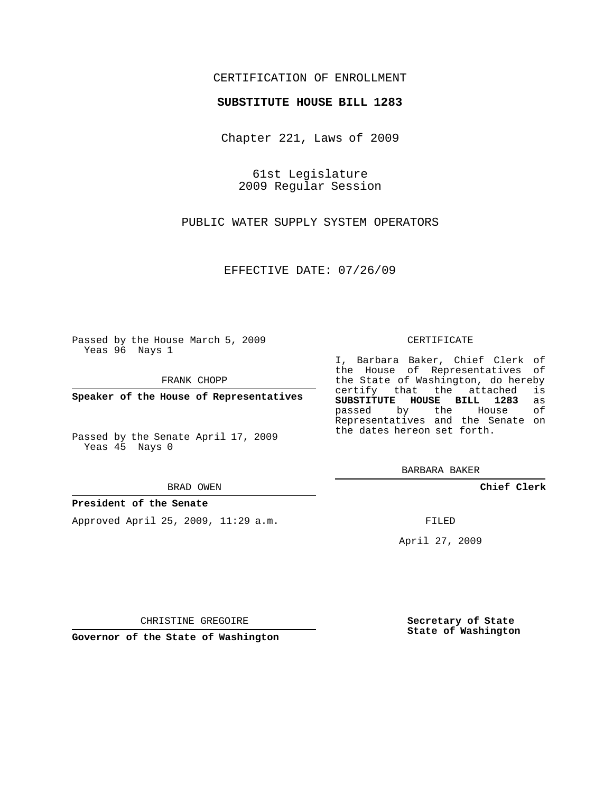## CERTIFICATION OF ENROLLMENT

## **SUBSTITUTE HOUSE BILL 1283**

Chapter 221, Laws of 2009

61st Legislature 2009 Regular Session

PUBLIC WATER SUPPLY SYSTEM OPERATORS

EFFECTIVE DATE: 07/26/09

Passed by the House March 5, 2009 Yeas 96 Nays 1

FRANK CHOPP

**Speaker of the House of Representatives**

Passed by the Senate April 17, 2009 Yeas 45 Nays 0

#### BRAD OWEN

## **President of the Senate**

Approved April 25, 2009, 11:29 a.m.

#### CERTIFICATE

I, Barbara Baker, Chief Clerk of the House of Representatives of the State of Washington, do hereby<br>certify that the attached is certify that the attached **SUBSTITUTE HOUSE BILL 1283** as passed by the House of Representatives and the Senate on the dates hereon set forth.

BARBARA BAKER

**Chief Clerk**

FILED

April 27, 2009

**Secretary of State State of Washington**

CHRISTINE GREGOIRE

**Governor of the State of Washington**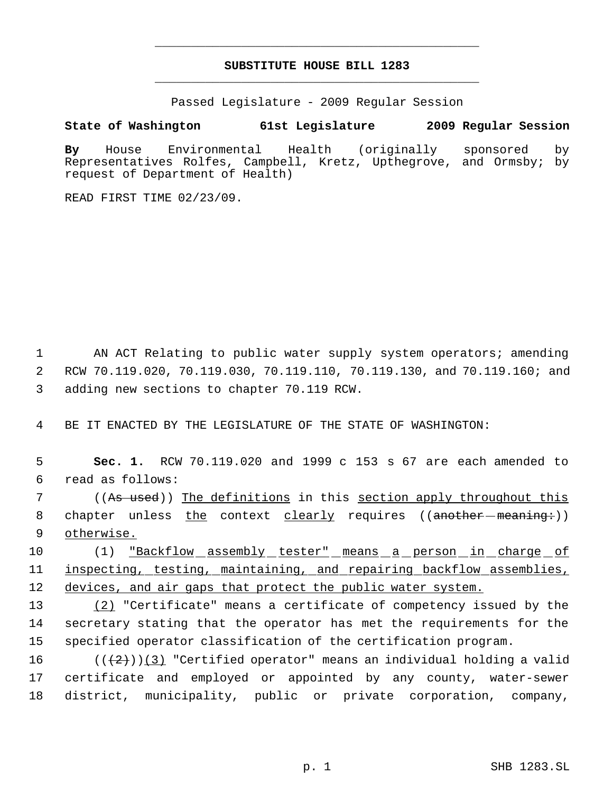# **SUBSTITUTE HOUSE BILL 1283** \_\_\_\_\_\_\_\_\_\_\_\_\_\_\_\_\_\_\_\_\_\_\_\_\_\_\_\_\_\_\_\_\_\_\_\_\_\_\_\_\_\_\_\_\_

\_\_\_\_\_\_\_\_\_\_\_\_\_\_\_\_\_\_\_\_\_\_\_\_\_\_\_\_\_\_\_\_\_\_\_\_\_\_\_\_\_\_\_\_\_

Passed Legislature - 2009 Regular Session

# **State of Washington 61st Legislature 2009 Regular Session**

**By** House Environmental Health (originally sponsored by Representatives Rolfes, Campbell, Kretz, Upthegrove, and Ormsby; by request of Department of Health)

READ FIRST TIME 02/23/09.

1 AN ACT Relating to public water supply system operators; amending 2 RCW 70.119.020, 70.119.030, 70.119.110, 70.119.130, and 70.119.160; and 3 adding new sections to chapter 70.119 RCW.

4 BE IT ENACTED BY THE LEGISLATURE OF THE STATE OF WASHINGTON:

 5 **Sec. 1.** RCW 70.119.020 and 1999 c 153 s 67 are each amended to 6 read as follows:

7 ((As used)) The definitions in this <u>section apply throughout this</u> 8 chapter unless the context clearly requires ((another meaning:)) 9 otherwise.

10 (1) <u>"Backflow assembly tester" means a person in charge of</u> 11 inspecting, testing, maintaining, and repairing backflow assemblies, 12 devices, and air gaps that protect the public water system.

13 (2) "Certificate" means a certificate of competency issued by the 14 secretary stating that the operator has met the requirements for the 15 specified operator classification of the certification program.

16  $((+2))$   $(3)$  "Certified operator" means an individual holding a valid 17 certificate and employed or appointed by any county, water-sewer 18 district, municipality, public or private corporation, company,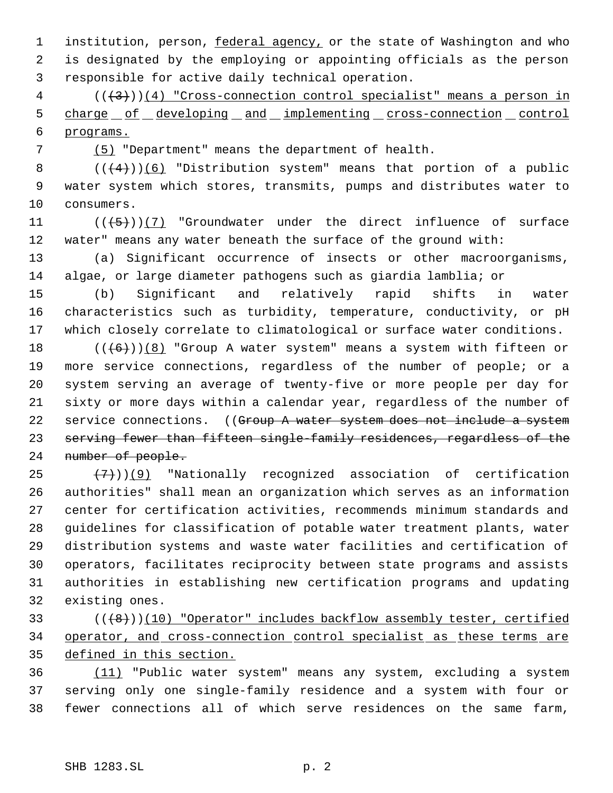1 institution, person, federal agency, or the state of Washington and who is designated by the employing or appointing officials as the person responsible for active daily technical operation.

 ( $(\frac{+3}{})$ )(4) "Cross-connection control specialist" means a person in 5 charge of developing and implementing cross-connection control programs.

(5) "Department" means the department of health.

8  $((+4))$  (6) "Distribution system" means that portion of a public water system which stores, transmits, pumps and distributes water to consumers.

11  $((\left\langle 5\right\rangle)(7)$  "Groundwater under the direct influence of surface water" means any water beneath the surface of the ground with:

 (a) Significant occurrence of insects or other macroorganisms, algae, or large diameter pathogens such as giardia lamblia; or

 (b) Significant and relatively rapid shifts in water characteristics such as turbidity, temperature, conductivity, or pH which closely correlate to climatological or surface water conditions.

 $((+6))$  (8) "Group A water system" means a system with fifteen or more service connections, regardless of the number of people; or a system serving an average of twenty-five or more people per day for sixty or more days within a calendar year, regardless of the number of 22 service connections. ((Group A water system does not include a system serving fewer than fifteen single-family residences, regardless of the number of people.

 $(7)$ ) $(9)$  "Nationally recognized association of certification authorities" shall mean an organization which serves as an information center for certification activities, recommends minimum standards and guidelines for classification of potable water treatment plants, water distribution systems and waste water facilities and certification of operators, facilitates reciprocity between state programs and assists authorities in establishing new certification programs and updating existing ones.

 (((8)))(10) "Operator" includes backflow assembly tester, certified operator, and cross-connection control specialist as these terms are defined in this section.

 (11) "Public water system" means any system, excluding a system serving only one single-family residence and a system with four or fewer connections all of which serve residences on the same farm,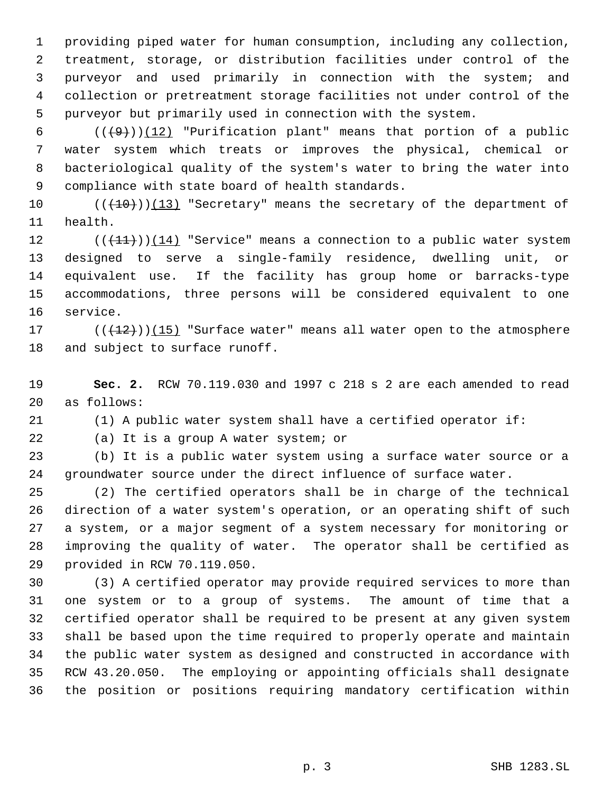providing piped water for human consumption, including any collection, treatment, storage, or distribution facilities under control of the purveyor and used primarily in connection with the system; and collection or pretreatment storage facilities not under control of the purveyor but primarily used in connection with the system.

 $((+9))$  (12) "Purification plant" means that portion of a public water system which treats or improves the physical, chemical or bacteriological quality of the system's water to bring the water into compliance with state board of health standards.

 $((+10))$   $(13)$  "Secretary" means the secretary of the department of health.

 $((+11))$   $(14)$  "Service" means a connection to a public water system designed to serve a single-family residence, dwelling unit, or equivalent use. If the facility has group home or barracks-type accommodations, three persons will be considered equivalent to one service.

17  $((+12))$   $(15)$  "Surface water" means all water open to the atmosphere and subject to surface runoff.

 **Sec. 2.** RCW 70.119.030 and 1997 c 218 s 2 are each amended to read as follows:

(1) A public water system shall have a certified operator if:

(a) It is a group A water system; or

 (b) It is a public water system using a surface water source or a groundwater source under the direct influence of surface water.

 (2) The certified operators shall be in charge of the technical direction of a water system's operation, or an operating shift of such a system, or a major segment of a system necessary for monitoring or improving the quality of water. The operator shall be certified as provided in RCW 70.119.050.

 (3) A certified operator may provide required services to more than one system or to a group of systems. The amount of time that a certified operator shall be required to be present at any given system shall be based upon the time required to properly operate and maintain the public water system as designed and constructed in accordance with RCW 43.20.050. The employing or appointing officials shall designate the position or positions requiring mandatory certification within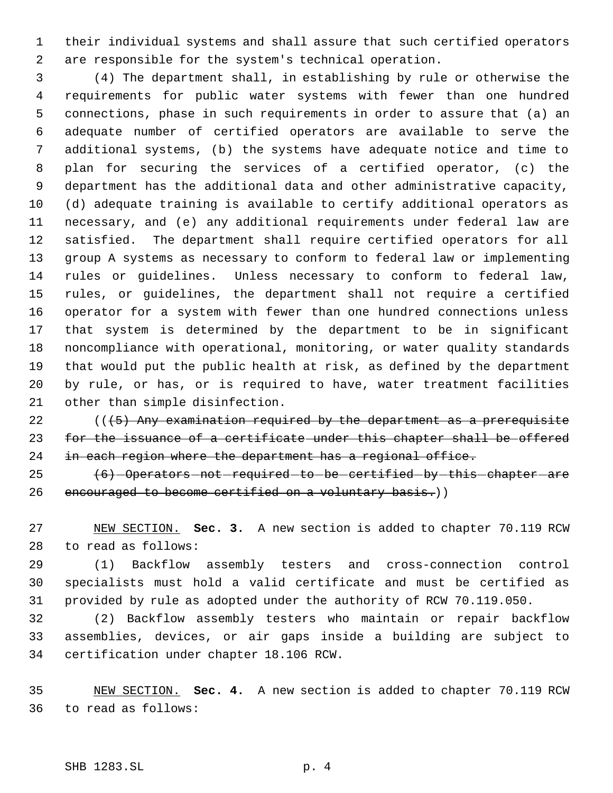their individual systems and shall assure that such certified operators are responsible for the system's technical operation.

 (4) The department shall, in establishing by rule or otherwise the requirements for public water systems with fewer than one hundred connections, phase in such requirements in order to assure that (a) an adequate number of certified operators are available to serve the additional systems, (b) the systems have adequate notice and time to plan for securing the services of a certified operator, (c) the department has the additional data and other administrative capacity, (d) adequate training is available to certify additional operators as necessary, and (e) any additional requirements under federal law are satisfied. The department shall require certified operators for all group A systems as necessary to conform to federal law or implementing rules or guidelines. Unless necessary to conform to federal law, rules, or guidelines, the department shall not require a certified operator for a system with fewer than one hundred connections unless that system is determined by the department to be in significant noncompliance with operational, monitoring, or water quality standards that would put the public health at risk, as defined by the department by rule, or has, or is required to have, water treatment facilities other than simple disinfection.

22  $(1.5)$  Any examination required by the department as a prerequisite for the issuance of a certificate under this chapter shall be offered 24 in each region where the department has a regional office.

 (6) Operators not required to be certified by this chapter are 26 encouraged to become certified on a voluntary basis.))

 NEW SECTION. **Sec. 3.** A new section is added to chapter 70.119 RCW to read as follows:

 (1) Backflow assembly testers and cross-connection control specialists must hold a valid certificate and must be certified as provided by rule as adopted under the authority of RCW 70.119.050.

 (2) Backflow assembly testers who maintain or repair backflow assemblies, devices, or air gaps inside a building are subject to certification under chapter 18.106 RCW.

 NEW SECTION. **Sec. 4.** A new section is added to chapter 70.119 RCW to read as follows: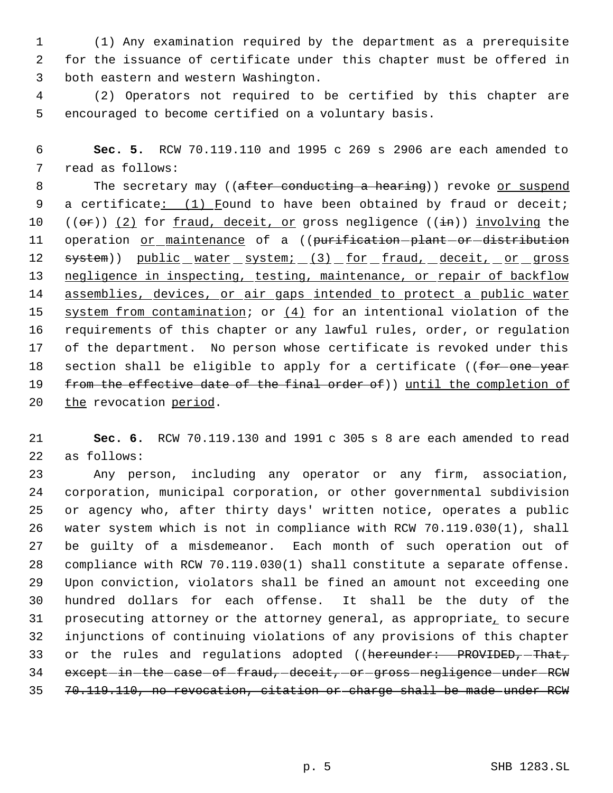(1) Any examination required by the department as a prerequisite for the issuance of certificate under this chapter must be offered in both eastern and western Washington.

 (2) Operators not required to be certified by this chapter are encouraged to become certified on a voluntary basis.

 **Sec. 5.** RCW 70.119.110 and 1995 c 269 s 2906 are each amended to read as follows:

8 The secretary may ((after conducting a hearing)) revoke or suspend a certificate: (1) Found to have been obtained by fraud or deceit; 10  $((\theta \cdot \hat{r}))$  (2) for fraud, deceit, or gross negligence  $((\pm \hat{n}))$  involving the 11 operation or maintenance of a ((purification-plant-or-distribution 12 system)) public water system; (3) for fraud, deceit, or gross negligence in inspecting, testing, maintenance, or repair of backflow 14 assemblies, devices, or air gaps intended to protect a public water 15 system from contamination; or  $(4)$  for an intentional violation of the requirements of this chapter or any lawful rules, order, or regulation of the department. No person whose certificate is revoked under this 18 section shall be eligible to apply for a certificate ((for one year 19 from the effective date of the final order of)) until the completion of 20 the revocation period.

 **Sec. 6.** RCW 70.119.130 and 1991 c 305 s 8 are each amended to read as follows:

 Any person, including any operator or any firm, association, corporation, municipal corporation, or other governmental subdivision or agency who, after thirty days' written notice, operates a public water system which is not in compliance with RCW 70.119.030(1), shall be guilty of a misdemeanor. Each month of such operation out of compliance with RCW 70.119.030(1) shall constitute a separate offense. Upon conviction, violators shall be fined an amount not exceeding one hundred dollars for each offense. It shall be the duty of the prosecuting attorney or the attorney general, as appropriate, to secure injunctions of continuing violations of any provisions of this chapter 33 or the rules and regulations adopted ((hereunder: PROVIDED, That, 34 except-in-the-case-of-fraud, deceit, or gross negligence under RCW 70.119.110, no revocation, citation or charge shall be made under RCW